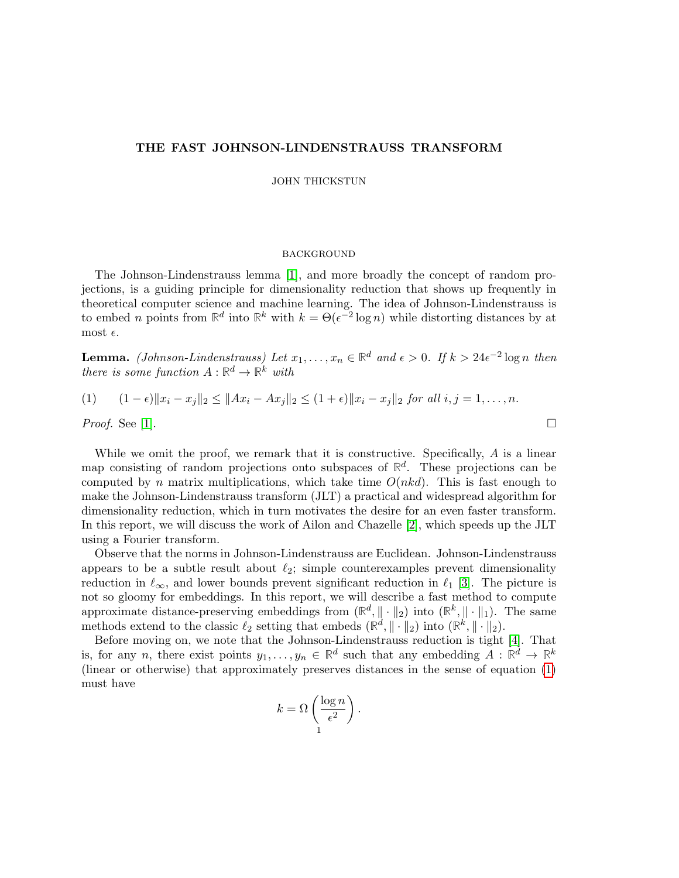# THE FAST JOHNSON-LINDENSTRAUSS TRANSFORM

JOHN THICKSTUN

### **BACKGROUND**

The Johnson-Lindenstrauss lemma [\[1\]](#page-4-0), and more broadly the concept of random projections, is a guiding principle for dimensionality reduction that shows up frequently in theoretical computer science and machine learning. The idea of Johnson-Lindenstrauss is to embed *n* points from  $\mathbb{R}^d$  into  $\mathbb{R}^k$  with  $k = \Theta(\epsilon^{-2} \log n)$  while distorting distances by at most  $\epsilon$ .

**Lemma.** (Johnson-Lindenstrauss) Let  $x_1, \ldots, x_n \in \mathbb{R}^d$  and  $\epsilon > 0$ . If  $k > 24\epsilon^{-2} \log n$  then there is some function  $A: \mathbb{R}^d \to \mathbb{R}^k$  with

<span id="page-0-0"></span>(1) 
$$
(1 - \epsilon) \|x_i - x_j\|_2 \le \|Ax_i - Ax_j\|_2 \le (1 + \epsilon) \|x_i - x_j\|_2 \text{ for all } i, j = 1, ..., n.
$$
  
*Proof.* See [1].

While we omit the proof, we remark that it is constructive. Specifically, A is a linear map consisting of random projections onto subspaces of  $\mathbb{R}^d$ . These projections can be computed by n matrix multiplications, which take time  $O(nkd)$ . This is fast enough to make the Johnson-Lindenstrauss transform (JLT) a practical and widespread algorithm for dimensionality reduction, which in turn motivates the desire for an even faster transform. In this report, we will discuss the work of Ailon and Chazelle [\[2\]](#page-4-1), which speeds up the JLT using a Fourier transform.

Observe that the norms in Johnson-Lindenstrauss are Euclidean. Johnson-Lindenstrauss appears to be a subtle result about  $\ell_2$ ; simple counterexamples prevent dimensionality reduction in  $\ell_{\infty}$ , and lower bounds prevent significant reduction in  $\ell_1$  [\[3\]](#page-4-2). The picture is not so gloomy for embeddings. In this report, we will describe a fast method to compute approximate distance-preserving embeddings from  $(\mathbb{R}^d, \| \cdot \|_2)$  into  $(\mathbb{R}^k, \| \cdot \|_1)$ . The same methods extend to the classic  $\ell_2$  setting that embeds  $(\mathbb{R}^d, \|\cdot\|_2)$  into  $(\mathbb{R}^k, \|\cdot\|_2)$ .

Before moving on, we note that the Johnson-Lindenstrauss reduction is tight [\[4\]](#page-4-3). That is, for any n, there exist points  $y_1, \ldots, y_n \in \mathbb{R}^d$  such that any embedding  $A : \mathbb{R}^d \to \mathbb{R}^k$ (linear or otherwise) that approximately preserves distances in the sense of equation [\(1\)](#page-0-0) must have

$$
k = \Omega \left( \frac{\log n}{\epsilon^2} \right).
$$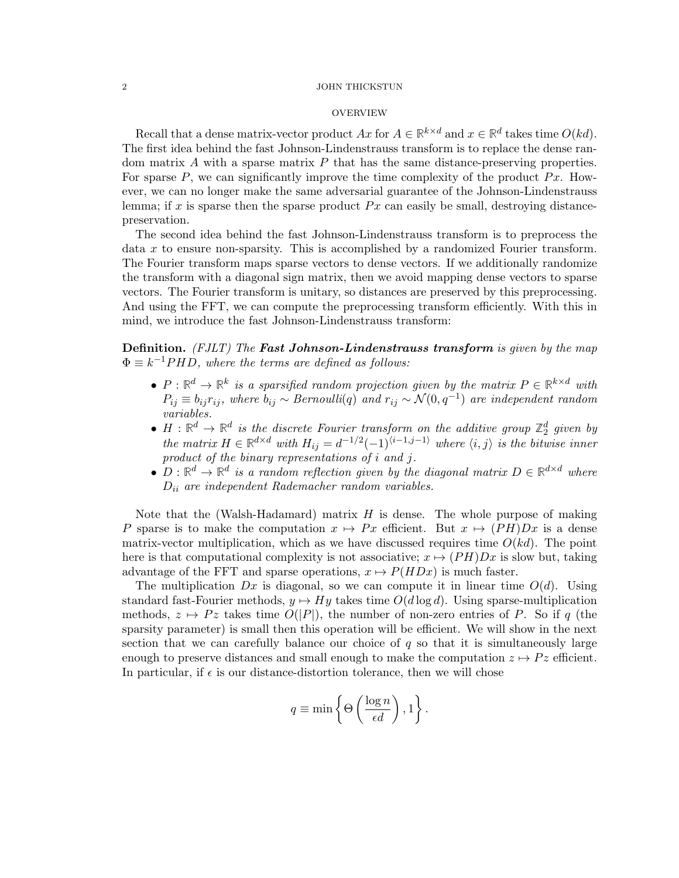#### 2 JOHN THICKSTUN

## **OVERVIEW**

Recall that a dense matrix-vector product  $Ax$  for  $A \in \mathbb{R}^{k \times d}$  and  $x \in \mathbb{R}^d$  takes time  $O(kd)$ . The first idea behind the fast Johnson-Lindenstrauss transform is to replace the dense random matrix  $A$  with a sparse matrix  $P$  that has the same distance-preserving properties. For sparse  $P$ , we can significantly improve the time complexity of the product  $Px$ . However, we can no longer make the same adversarial guarantee of the Johnson-Lindenstrauss lemma; if x is sparse then the sparse product  $Px$  can easily be small, destroying distancepreservation.

The second idea behind the fast Johnson-Lindenstrauss transform is to preprocess the data x to ensure non-sparsity. This is accomplished by a randomized Fourier transform. The Fourier transform maps sparse vectors to dense vectors. If we additionally randomize the transform with a diagonal sign matrix, then we avoid mapping dense vectors to sparse vectors. The Fourier transform is unitary, so distances are preserved by this preprocessing. And using the FFT, we can compute the preprocessing transform efficiently. With this in mind, we introduce the fast Johnson-Lindenstrauss transform:

**Definition.** (FJLT) The **Fast Johnson-Lindenstrauss transform** is given by the map  $\Phi \equiv k^{-1}PHD$ , where the terms are defined as follows:

- $P: \mathbb{R}^d \to \mathbb{R}^k$  is a sparsified random projection given by the matrix  $P \in \mathbb{R}^{k \times d}$  with  $P_{ij} \equiv b_{ij} r_{ij}$ , where  $b_{ij} \sim Bernoulli(q)$  and  $r_{ij} \sim \mathcal{N}(0, q^{-1})$  are independent random variables.
- $H : \mathbb{R}^d \to \mathbb{R}^d$  is the discrete Fourier transform on the additive group  $\mathbb{Z}_2^d$  given by the matrix  $H \in \mathbb{R}^{d \times d}$  with  $H_{ij} = d^{-1/2}(-1)^{\langle i-1,j-1 \rangle}$  where  $\langle i, j \rangle$  is the bitwise inner product of the binary representations of i and j.
- $D: \mathbb{R}^d \to \mathbb{R}^d$  is a random reflection given by the diagonal matrix  $D \in \mathbb{R}^{d \times d}$  where  $D_{ii}$  are independent Rademacher random variables.

Note that the (Walsh-Hadamard) matrix  $H$  is dense. The whole purpose of making P sparse is to make the computation  $x \mapsto Px$  efficient. But  $x \mapsto (PH)Dx$  is a dense matrix-vector multiplication, which as we have discussed requires time  $O(kd)$ . The point here is that computational complexity is not associative;  $x \mapsto (PH)Dx$  is slow but, taking advantage of the FFT and sparse operations,  $x \mapsto P(HDx)$  is much faster.

The multiplication  $Dx$  is diagonal, so we can compute it in linear time  $O(d)$ . Using standard fast-Fourier methods,  $y \mapsto Hy$  takes time  $O(d \log d)$ . Using sparse-multiplication methods,  $z \mapsto Pz$  takes time  $O(|P|)$ , the number of non-zero entries of P. So if q (the sparsity parameter) is small then this operation will be efficient. We will show in the next section that we can carefully balance our choice of  $q$  so that it is simultaneously large enough to preserve distances and small enough to make the computation  $z \mapsto P z$  efficient. In particular, if  $\epsilon$  is our distance-distortion tolerance, then we will chose

$$
q \equiv \min \left\{ \Theta \left( \frac{\log n}{\epsilon d} \right), 1 \right\}.
$$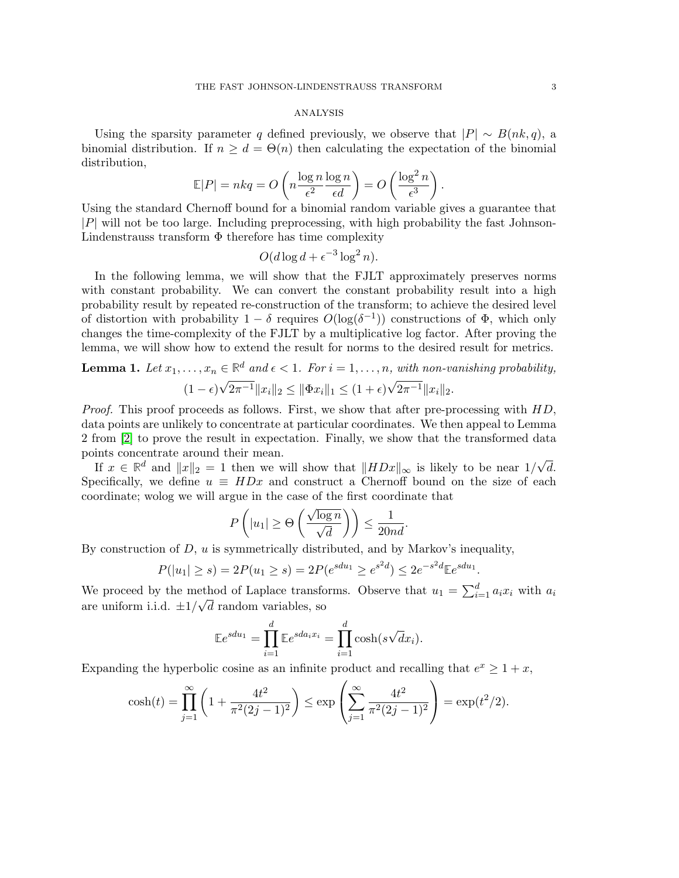#### analysis

Using the sparsity parameter q defined previously, we observe that  $|P| \sim B(nk, q)$ , a binomial distribution. If  $n \geq d = \Theta(n)$  then calculating the expectation of the binomial distribution,

$$
\mathbb{E}|P| = nkq = O\left(n\frac{\log n}{\epsilon^2}\frac{\log n}{\epsilon d}\right) = O\left(\frac{\log^2 n}{\epsilon^3}\right).
$$

Using the standard Chernoff bound for a binomial random variable gives a guarantee that  $|P|$  will not be too large. Including preprocessing, with high probability the fast Johnson-Lindenstrauss transform  $\Phi$  therefore has time complexity

$$
O(d\log d + \epsilon^{-3}\log^2 n).
$$

In the following lemma, we will show that the FJLT approximately preserves norms with constant probability. We can convert the constant probability result into a high probability result by repeated re-construction of the transform; to achieve the desired level of distortion with probability  $1 - \delta$  requires  $O(\log(\delta^{-1}))$  constructions of  $\Phi$ , which only changes the time-complexity of the FJLT by a multiplicative log factor. After proving the lemma, we will show how to extend the result for norms to the desired result for metrics.

**Lemma 1.** Let 
$$
x_1, ..., x_n \in \mathbb{R}^d
$$
 and  $\epsilon < 1$ . For  $i = 1, ..., n$ , with non-vanishing probability,  
\n
$$
(1 - \epsilon)\sqrt{2\pi^{-1}}\|x_i\|_2 \le \|\Phi x_i\|_1 \le (1 + \epsilon)\sqrt{2\pi^{-1}}\|x_i\|_2.
$$

Proof. This proof proceeds as follows. First, we show that after pre-processing with HD, data points are unlikely to concentrate at particular coordinates. We then appeal to Lemma 2 from [\[2\]](#page-4-1) to prove the result in expectation. Finally, we show that the transformed data points concentrate around their mean.

If  $x \in \mathbb{R}^d$  and  $||x||_2 = 1$  then we will show that  $||HDx||_{\infty}$  is likely to be near  $1/\sqrt{ }$ d. Specifically, we define  $u \equiv HDx$  and construct a Chernoff bound on the size of each coordinate; wolog we will argue in the case of the first coordinate that

$$
P\left(|u_1| \ge \Theta\left(\frac{\sqrt{\log n}}{\sqrt{d}}\right)\right) \le \frac{1}{20nd}.
$$

By construction of  $D, u$  is symmetrically distributed, and by Markov's inequality,

$$
P(|u_1| \ge s) = 2P(u_1 \ge s) = 2P(e^{sdu_1} \ge e^{s^2d}) \le 2e^{-s^2d} \mathbb{E}e^{sdu_1}.
$$

We proceed by the method of Laplace transforms. Observe that  $u_1 = \sum_{i=1}^d a_i x_i$  with  $a_i$ are uniform i.i.d.  $\pm 1/\sqrt{d}$  random variables, so

$$
\mathbb{E}e^{sdu_1} = \prod_{i=1}^d \mathbb{E}e^{sda_ix_i} = \prod_{i=1}^d \cosh(s\sqrt{d}x_i).
$$

Expanding the hyperbolic cosine as an infinite product and recalling that  $e^x \geq 1 + x$ ,

$$
\cosh(t) = \prod_{j=1}^{\infty} \left( 1 + \frac{4t^2}{\pi^2 (2j-1)^2} \right) \le \exp\left( \sum_{j=1}^{\infty} \frac{4t^2}{\pi^2 (2j-1)^2} \right) = \exp(t^2/2).
$$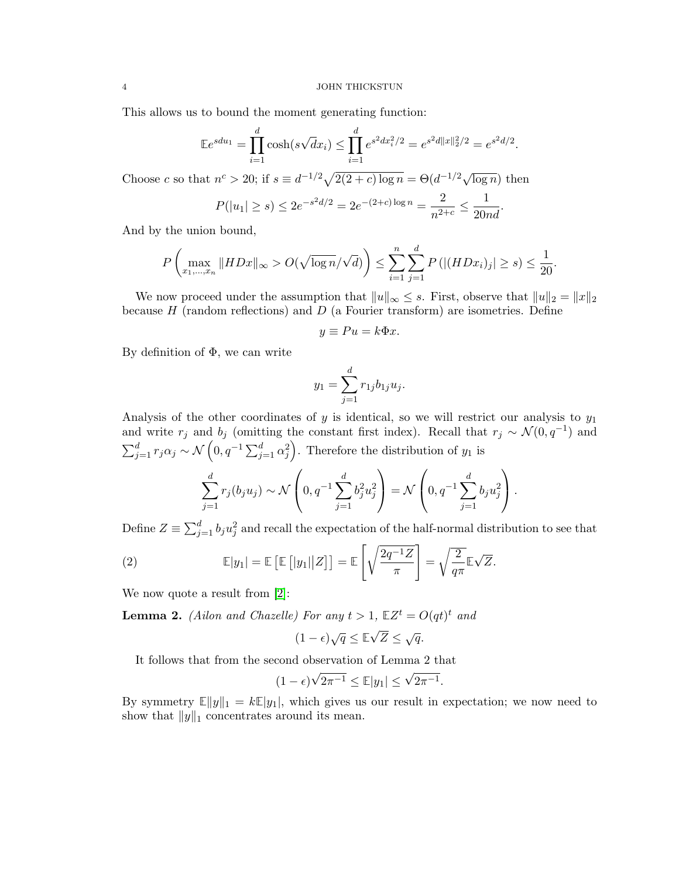This allows us to bound the moment generating function:

$$
\mathbb{E}e^{sdu_1} = \prod_{i=1}^d \cosh(s\sqrt{d}x_i) \le \prod_{i=1}^d e^{s^2 dx_i^2/2} = e^{s^2 d \|x\|_2^2/2} = e^{s^2 d/2}.
$$

Choose c so that  $n^c > 20$ ; if  $s \equiv d^{-1/2}\sqrt{2(2+c)\log n} = \Theta(d^{-1/2}\sqrt{\log n})$  then

$$
P(|u_1| \ge s) \le 2e^{-s^2d/2} = 2e^{-(2+c)\log n} = \frac{2}{n^{2+c}} \le \frac{1}{20nd}.
$$

And by the union bound,

$$
P\left(\max_{x_1,\dots,x_n} \|HDx\|_{\infty} > O(\sqrt{\log n}/\sqrt{d})\right) \le \sum_{i=1}^n \sum_{j=1}^d P\left(|(HDx_i)_j| \ge s\right) \le \frac{1}{20}.
$$

We now proceed under the assumption that  $||u||_{\infty} \leq s$ . First, observe that  $||u||_2 = ||x||_2$ because  $H$  (random reflections) and  $D$  (a Fourier transform) are isometries. Define

$$
y \equiv Pu = k\Phi x.
$$

By definition of  $\Phi$ , we can write

$$
y_1 = \sum_{j=1}^d r_{1j} b_{1j} u_j.
$$

Analysis of the other coordinates of y is identical, so we will restrict our analysis to  $y_1$ and write  $r_j$  and  $b_j$  (omitting the constant first index). Recall that  $r_j \sim \mathcal{N}(0, q^{-1})$  and  $\sum_{j=1}^d r_j \alpha_j \sim \mathcal{N}\left(0, q^{-1} \sum_{j=1}^d \alpha_j^2\right)$ . Therefore the distribution of  $y_1$  is

$$
\sum_{j=1}^{d} r_j(b_j u_j) \sim \mathcal{N}\left(0, q^{-1} \sum_{j=1}^{d} b_j^2 u_j^2\right) = \mathcal{N}\left(0, q^{-1} \sum_{j=1}^{d} b_j u_j^2\right).
$$

Define  $Z \equiv \sum_{j=1}^d b_j u_j^2$  and recall the expectation of the half-normal distribution to see that

(2) 
$$
\mathbb{E}|y_1| = \mathbb{E}\left[\mathbb{E}\left[|y_1||Z\right]\right] = \mathbb{E}\left[\sqrt{\frac{2q^{-1}Z}{\pi}}\right] = \sqrt{\frac{2}{q\pi}}\mathbb{E}\sqrt{Z}.
$$

We now quote a result from [\[2\]](#page-4-1):

**Lemma 2.** (Ailon and Chazelle) For any  $t > 1$ ,  $\mathbb{E}Z^t = O(qt)^t$  and

$$
(1-\epsilon)\sqrt{q} \leq \mathbb{E}\sqrt{Z} \leq \sqrt{q}.
$$

It follows that from the second observation of Lemma 2 that

$$
(1 - \epsilon)\sqrt{2\pi^{-1}} \le \mathbb{E}|y_1| \le \sqrt{2\pi^{-1}}.
$$

By symmetry  $\mathbb{E}||y||_1 = k\mathbb{E}|y_1|$ , which gives us our result in expectation; we now need to show that  $||y||_1$  concentrates around its mean.